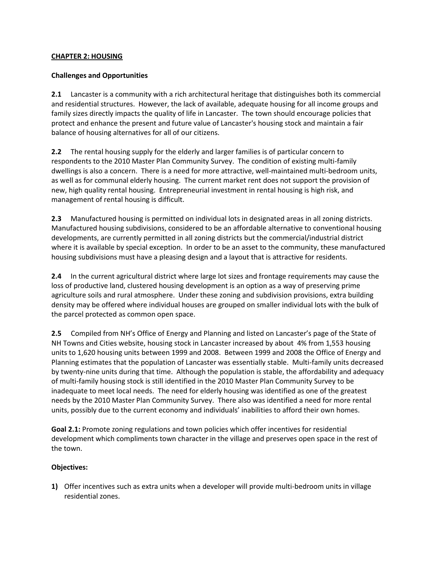## **CHAPTER 2: HOUSING**

## **Challenges and Opportunities**

**2.1** Lancaster is a community with a rich architectural heritage that distinguishes both its commercial and residential structures. However, the lack of available, adequate housing for all income groups and family sizes directly impacts the quality of life in Lancaster. The town should encourage policies that protect and enhance the present and future value of Lancaster's housing stock and maintain a fair balance of housing alternatives for all of our citizens.

**2.2** The rental housing supply for the elderly and larger families is of particular concern to respondents to the 2010 Master Plan Community Survey. The condition of existing multi-family dwellings is also a concern. There is a need for more attractive, well-maintained multi-bedroom units, as well as for communal elderly housing. The current market rent does not support the provision of new, high quality rental housing. Entrepreneurial investment in rental housing is high risk, and management of rental housing is difficult.

**2.3** Manufactured housing is permitted on individual lots in designated areas in all zoning districts. Manufactured housing subdivisions, considered to be an affordable alternative to conventional housing developments, are currently permitted in all zoning districts but the commercial/industrial district where it is available by special exception. In order to be an asset to the community, these manufactured housing subdivisions must have a pleasing design and a layout that is attractive for residents.

**2.4** In the current agricultural district where large lot sizes and frontage requirements may cause the loss of productive land, clustered housing development is an option as a way of preserving prime agriculture soils and rural atmosphere. Under these zoning and subdivision provisions, extra building density may be offered where individual houses are grouped on smaller individual lots with the bulk of the parcel protected as common open space.

**2.5** Compiled from NH's Office of Energy and Planning and listed on Lancaster's page of the State of NH Towns and Cities website, housing stock in Lancaster increased by about 4% from 1,553 housing units to 1,620 housing units between 1999 and 2008. Between 1999 and 2008 the Office of Energy and Planning estimates that the population of Lancaster was essentially stable. Multi-family units decreased by twenty-nine units during that time. Although the population is stable, the affordability and adequacy of multi-family housing stock is still identified in the 2010 Master Plan Community Survey to be inadequate to meet local needs. The need for elderly housing was identified as one of the greatest needs by the 2010 Master Plan Community Survey. There also was identified a need for more rental units, possibly due to the current economy and individuals' inabilities to afford their own homes.

**Goal 2.1:** Promote zoning regulations and town policies which offer incentives for residential development which compliments town character in the village and preserves open space in the rest of the town.

## **Objectives:**

**1)** Offer incentives such as extra units when a developer will provide multi-bedroom units in village residential zones.